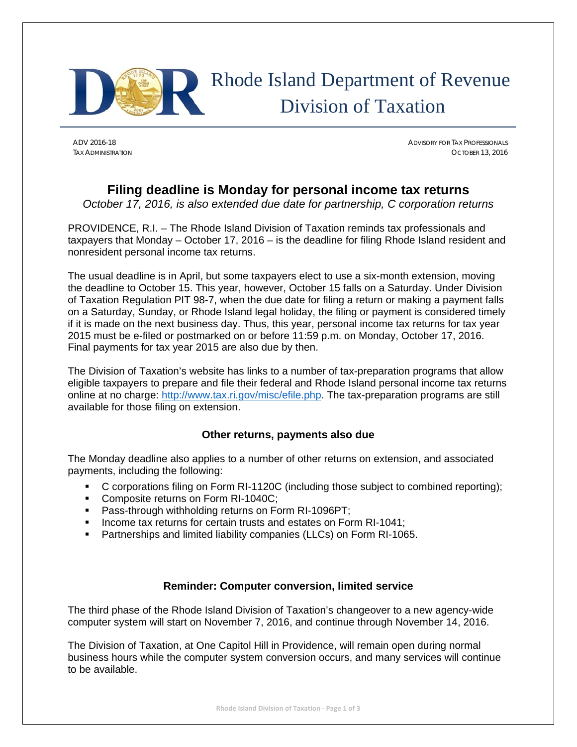

## Rhode Island Department of Revenue Division of Taxation

ADV 2016-18 ADVISORY FOR TAX PROFESSIONALS TAX ADMINISTRATION OCTOBER 13, 2016

## **Filing deadline is Monday for personal income tax returns**

*October 17, 2016, is also extended due date for partnership, C corporation returns* 

PROVIDENCE, R.I. – The Rhode Island Division of Taxation reminds tax professionals and taxpayers that Monday – October 17, 2016 – is the deadline for filing Rhode Island resident and nonresident personal income tax returns.

The usual deadline is in April, but some taxpayers elect to use a six-month extension, moving the deadline to October 15. This year, however, October 15 falls on a Saturday. Under Division of Taxation Regulation PIT 98-7, when the due date for filing a return or making a payment falls on a Saturday, Sunday, or Rhode Island legal holiday, the filing or payment is considered timely if it is made on the next business day. Thus, this year, personal income tax returns for tax year 2015 must be e-filed or postmarked on or before 11:59 p.m. on Monday, October 17, 2016. Final payments for tax year 2015 are also due by then.

The Division of Taxation's website has links to a number of tax-preparation programs that allow eligible taxpayers to prepare and file their federal and Rhode Island personal income tax returns online at no charge: http://www.tax.ri.gov/misc/efile.php. The tax-preparation programs are still available for those filing on extension.

## **Other returns, payments also due**

The Monday deadline also applies to a number of other returns on extension, and associated payments, including the following:

- C corporations filing on Form RI-1120C (including those subject to combined reporting);
- Composite returns on Form RI-1040C;
- **Pass-through withholding returns on Form RI-1096PT:**
- Income tax returns for certain trusts and estates on Form RI-1041;
- **Partnerships and limited liability companies (LLCs) on Form RI-1065.**

## **Reminder: Computer conversion, limited service**

The third phase of the Rhode Island Division of Taxation's changeover to a new agency-wide computer system will start on November 7, 2016, and continue through November 14, 2016.

The Division of Taxation, at One Capitol Hill in Providence, will remain open during normal business hours while the computer system conversion occurs, and many services will continue to be available.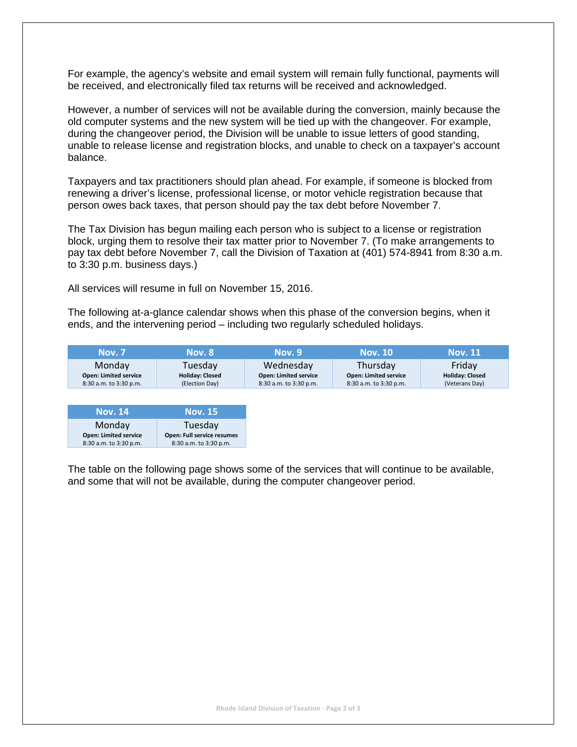For example, the agency's website and email system will remain fully functional, payments will be received, and electronically filed tax returns will be received and acknowledged.

However, a number of services will not be available during the conversion, mainly because the old computer systems and the new system will be tied up with the changeover. For example, during the changeover period, the Division will be unable to issue letters of good standing, unable to release license and registration blocks, and unable to check on a taxpayer's account balance.

Taxpayers and tax practitioners should plan ahead. For example, if someone is blocked from renewing a driver's license, professional license, or motor vehicle registration because that person owes back taxes, that person should pay the tax debt before November 7.

The Tax Division has begun mailing each person who is subject to a license or registration block, urging them to resolve their tax matter prior to November 7. (To make arrangements to pay tax debt before November 7, call the Division of Taxation at (401) 574-8941 from 8:30 a.m. to 3:30 p.m. business days.)

All services will resume in full on November 15, 2016.

The following at-a-glance calendar shows when this phase of the conversion begins, when it ends, and the intervening period – including two regularly scheduled holidays.

| <b>Nov. 7</b>                | <b>Nov. 8</b>          | <b>Nov.</b> 9                | <b>Nov. 10</b>               | <b>Nov. 11</b>         |
|------------------------------|------------------------|------------------------------|------------------------------|------------------------|
| Monday                       | Tuesday                | Wednesday                    | Thursdav                     | Friday                 |
| <b>Open: Limited service</b> | <b>Holiday: Closed</b> | <b>Open: Limited service</b> | <b>Open: Limited service</b> | <b>Holiday: Closed</b> |
| 8:30 a.m. to 3:30 p.m.       | (Election Day)         | 8:30 a.m. to 3:30 p.m.       | 8:30 a.m. to 3:30 p.m.       | (Veterans Day)         |

| <b>Nov. 14</b>               | <b>Nov. 15</b>             |
|------------------------------|----------------------------|
| Monday                       | Tuesday                    |
| <b>Open: Limited service</b> | Open: Full service resumes |
| 8:30 a.m. to 3:30 p.m.       | 8:30 a.m. to 3:30 p.m.     |

The table on the following page shows some of the services that will continue to be available, and some that will not be available, during the computer changeover period.